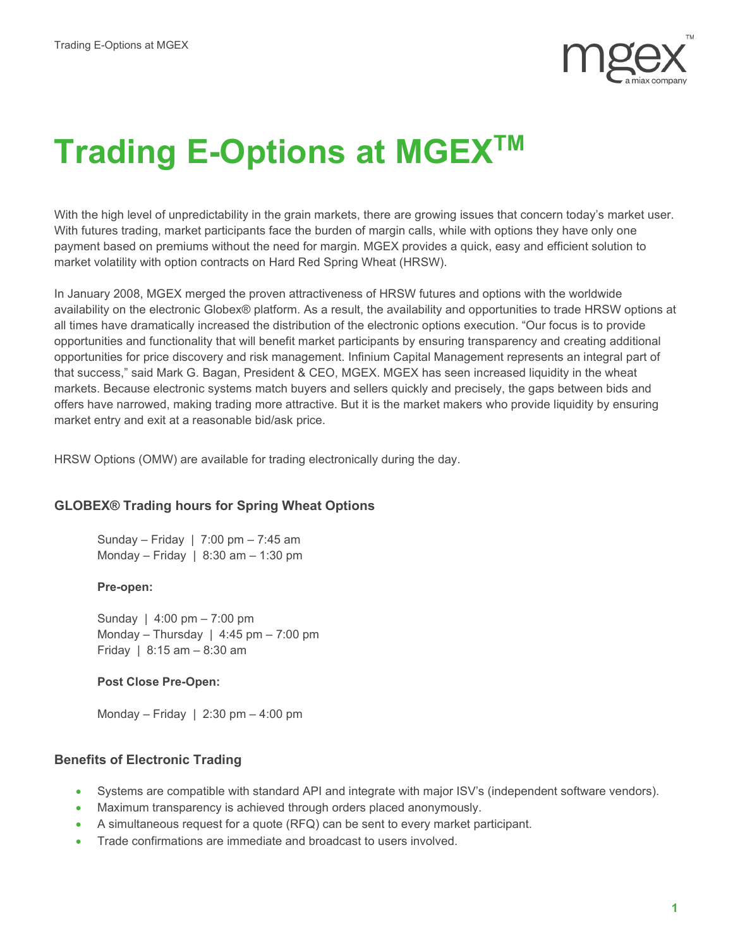

# **Trading E-Options at MGEX<sup>™</sup>**

With the high level of unpredictability in the grain markets, there are growing issues that concern today's market user. With futures trading, market participants face the burden of margin calls, while with options they have only one payment based on premiums without the need for margin. MGEX provides a quick, easy and efficient solution to market volatility with option contracts on Hard Red Spring Wheat (HRSW).

In January 2008, MGEX merged the proven attractiveness of HRSW futures and options with the worldwide availability on the electronic Globex® platform. As a result, the availability and opportunities to trade HRSW options at all times have dramatically increased the distribution of the electronic options execution. "Our focus is to provide opportunities and functionality that will benefit market participants by ensuring transparency and creating additional opportunities for price discovery and risk management. Infinium Capital Management represents an integral part of that success," said Mark G. Bagan, President & CEO, MGEX. MGEX has seen increased liquidity in the wheat markets. Because electronic systems match buyers and sellers quickly and precisely, the gaps between bids and offers have narrowed, making trading more attractive. But it is the market makers who provide liquidity by ensuring market entry and exit at a reasonable bid/ask price.

HRSW Options (OMW) are available for trading electronically during the day.

## **GLOBEX® Trading hours for Spring Wheat Options**

Sunday – Friday | 7:00 pm – 7:45 am Monday – Friday  $| 8:30$  am – 1:30 pm

#### **Pre-open:**

Sunday | 4:00 pm – 7:00 pm Monday – Thursday | 4:45 pm – 7:00 pm Friday | 8:15 am – 8:30 am

### **Post Close Pre-Open:**

Monday – Friday  $\vert$  2:30 pm – 4:00 pm

## **Benefits of Electronic Trading**

- Systems are compatible with standard API and integrate with major ISV's (independent software vendors).
- Maximum transparency is achieved through orders placed anonymously.
- A simultaneous request for a quote (RFQ) can be sent to every market participant.
- Trade confirmations are immediate and broadcast to users involved.